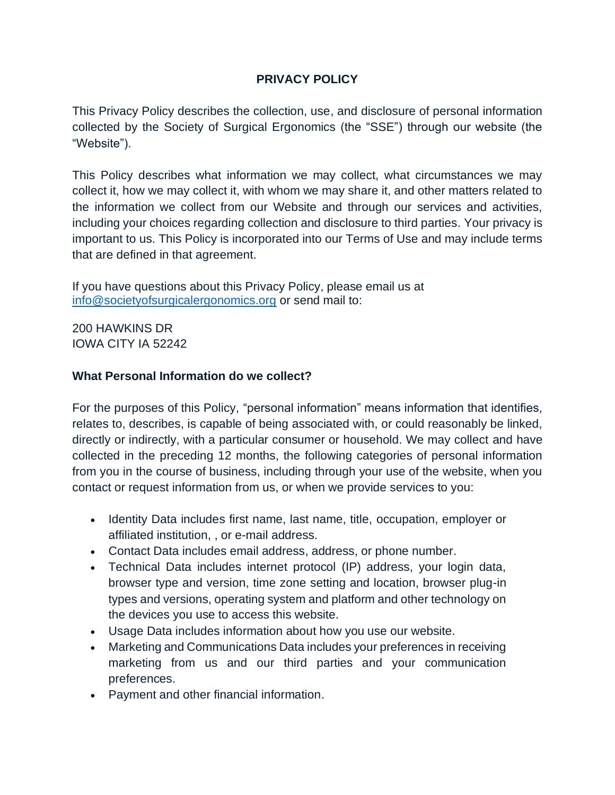# **PRIVACY POLICY**

This Privacy Policy describes the collection, use, and disclosure of personal information collected by the Society of Surgical Ergonomics (the "SSE") through our website (the "Website").

This Policy describes what information we may collect, what circumstances we may collect it, how we may collect it, with whom we may share it, and other matters related to the information we collect from our Website and through our services and activities, including your choices regarding collection and disclosure to third parties. Your privacy is important to us. This Policy is incorporated into our Terms of Use and may include terms that are defined in that agreement.

If you have questions about this Privacy Policy, please email us at [info@societyofsurgicalergonomics.org](mailto:info@societyofsurgicalergonomics.org) or send mail to:

200 HAWKINS DR IOWA CITY IA 52242

## **What Personal Information do we collect?**

For the purposes of this Policy, "personal information" means information that identifies, relates to, describes, is capable of being associated with, or could reasonably be linked, directly or indirectly, with a particular consumer or household. We may collect and have collected in the preceding 12 months, the following categories of personal information from you in the course of business, including through your use of the website, when you contact or request information from us, or when we provide services to you:

- Identity Data includes first name, last name, title, occupation, employer or affiliated institution, , or e-mail address.
- Contact Data includes email address, address, or phone number.
- Technical Data includes internet protocol (IP) address, your login data, browser type and version, time zone setting and location, browser plug-in types and versions, operating system and platform and other technology on the devices you use to access this website.
- Usage Data includes information about how you use our website.
- Marketing and Communications Data includes your preferences in receiving marketing from us and our third parties and your communication preferences.
- Payment and other financial information.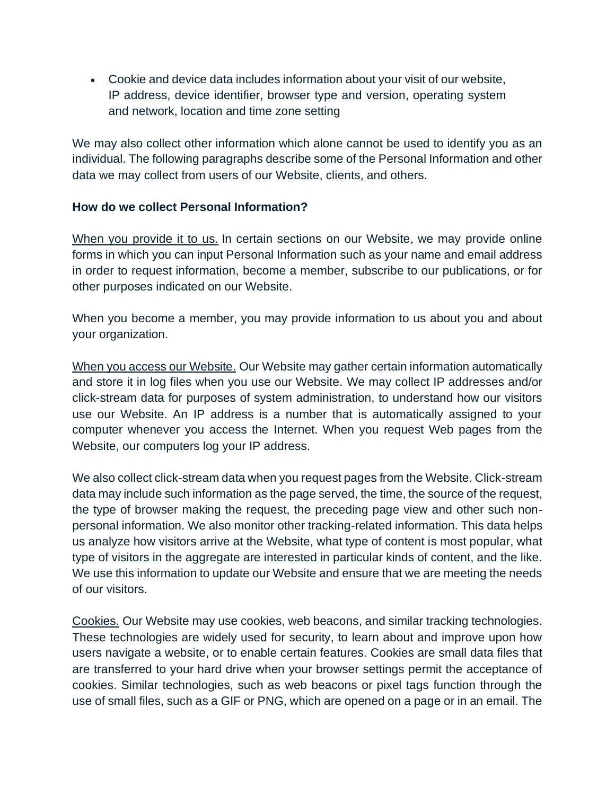• Cookie and device data includes information about your visit of our website, IP address, device identifier, browser type and version, operating system and network, location and time zone setting

We may also collect other information which alone cannot be used to identify you as an individual. The following paragraphs describe some of the Personal Information and other data we may collect from users of our Website, clients, and others.

### **How do we collect Personal Information?**

When you provide it to us. In certain sections on our Website, we may provide online forms in which you can input Personal Information such as your name and email address in order to request information, become a member, subscribe to our publications, or for other purposes indicated on our Website.

When you become a member, you may provide information to us about you and about your organization.

When you access our Website. Our Website may gather certain information automatically and store it in log files when you use our Website. We may collect IP addresses and/or click-stream data for purposes of system administration, to understand how our visitors use our Website. An IP address is a number that is automatically assigned to your computer whenever you access the Internet. When you request Web pages from the Website, our computers log your IP address.

We also collect click-stream data when you request pages from the Website. Click-stream data may include such information as the page served, the time, the source of the request, the type of browser making the request, the preceding page view and other such nonpersonal information. We also monitor other tracking-related information. This data helps us analyze how visitors arrive at the Website, what type of content is most popular, what type of visitors in the aggregate are interested in particular kinds of content, and the like. We use this information to update our Website and ensure that we are meeting the needs of our visitors.

Cookies. Our Website may use cookies, web beacons, and similar tracking technologies. These technologies are widely used for security, to learn about and improve upon how users navigate a website, or to enable certain features. Cookies are small data files that are transferred to your hard drive when your browser settings permit the acceptance of cookies. Similar technologies, such as web beacons or pixel tags function through the use of small files, such as a GIF or PNG, which are opened on a page or in an email. The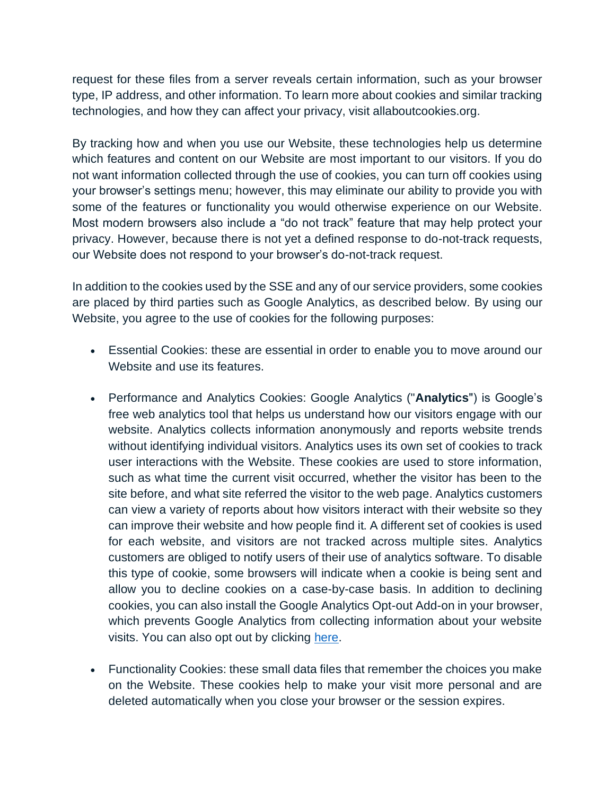request for these files from a server reveals certain information, such as your browser type, IP address, and other information. To learn more about cookies and similar tracking technologies, and how they can affect your privacy, visit allaboutcookies.org.

By tracking how and when you use our Website, these technologies help us determine which features and content on our Website are most important to our visitors. If you do not want information collected through the use of cookies, you can turn off cookies using your browser's settings menu; however, this may eliminate our ability to provide you with some of the features or functionality you would otherwise experience on our Website. Most modern browsers also include a "do not track" feature that may help protect your privacy. However, because there is not yet a defined response to do-not-track requests, our Website does not respond to your browser's do-not-track request.

In addition to the cookies used by the SSE and any of our service providers, some cookies are placed by third parties such as Google Analytics, as described below. By using our Website, you agree to the use of cookies for the following purposes:

- Essential Cookies: these are essential in order to enable you to move around our Website and use its features.
- Performance and Analytics Cookies: Google Analytics ("**Analytics**") is Google's free web analytics tool that helps us understand how our visitors engage with our website. Analytics collects information anonymously and reports website trends without identifying individual visitors. Analytics uses its own set of cookies to track user interactions with the Website. These cookies are used to store information, such as what time the current visit occurred, whether the visitor has been to the site before, and what site referred the visitor to the web page. Analytics customers can view a variety of reports about how visitors interact with their website so they can improve their website and how people find it. A different set of cookies is used for each website, and visitors are not tracked across multiple sites. Analytics customers are obliged to notify users of their use of analytics software. To disable this type of cookie, some browsers will indicate when a cookie is being sent and allow you to decline cookies on a case-by-case basis. In addition to declining cookies, you can also install the Google Analytics Opt-out Add-on in your browser, which prevents Google Analytics from collecting information about your website visits. You can also opt out by clicking [here.](https://tools.google.com/dlpage/gaoptout)
- Functionality Cookies: these small data files that remember the choices you make on the Website. These cookies help to make your visit more personal and are deleted automatically when you close your browser or the session expires.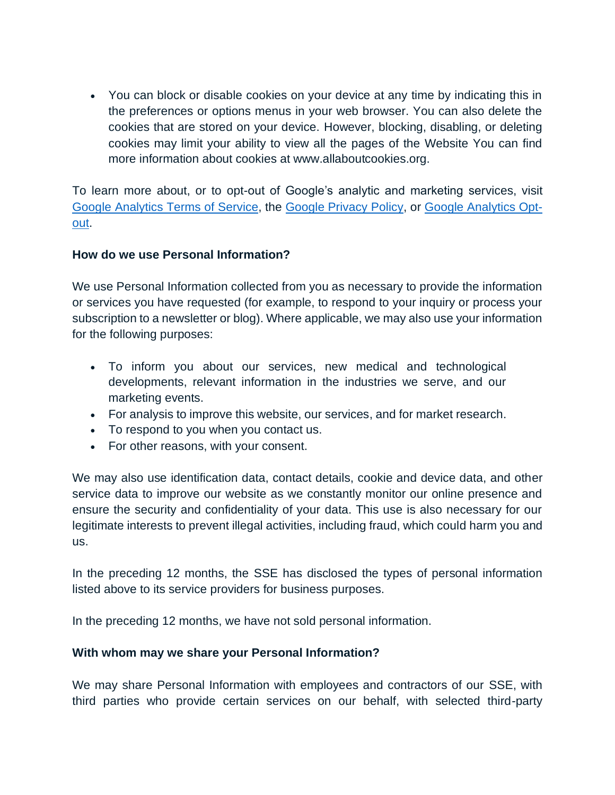• You can block or disable cookies on your device at any time by indicating this in the preferences or options menus in your web browser. You can also delete the cookies that are stored on your device. However, blocking, disabling, or deleting cookies may limit your ability to view all the pages of the Website You can find more information about cookies at www.allaboutcookies.org.

To learn more about, or to opt-out of Google's analytic and marketing services, visit [Google Analytics Terms of Service,](https://marketingplatform.google.com/about/analytics/terms/us/) the [Google Privacy Policy,](http://policies.google.com/privacy) or [Google Analytics Opt](http://tools.google.com/dlpage/gaoptout)[out.](http://tools.google.com/dlpage/gaoptout)

### **How do we use Personal Information?**

We use Personal Information collected from you as necessary to provide the information or services you have requested (for example, to respond to your inquiry or process your subscription to a newsletter or blog). Where applicable, we may also use your information for the following purposes:

- To inform you about our services, new medical and technological developments, relevant information in the industries we serve, and our marketing events.
- For analysis to improve this website, our services, and for market research.
- To respond to you when you contact us.
- For other reasons, with your consent.

We may also use identification data, contact details, cookie and device data, and other service data to improve our website as we constantly monitor our online presence and ensure the security and confidentiality of your data. This use is also necessary for our legitimate interests to prevent illegal activities, including fraud, which could harm you and us.

In the preceding 12 months, the SSE has disclosed the types of personal information listed above to its service providers for business purposes.

In the preceding 12 months, we have not sold personal information.

## **With whom may we share your Personal Information?**

We may share Personal Information with employees and contractors of our SSE, with third parties who provide certain services on our behalf, with selected third-party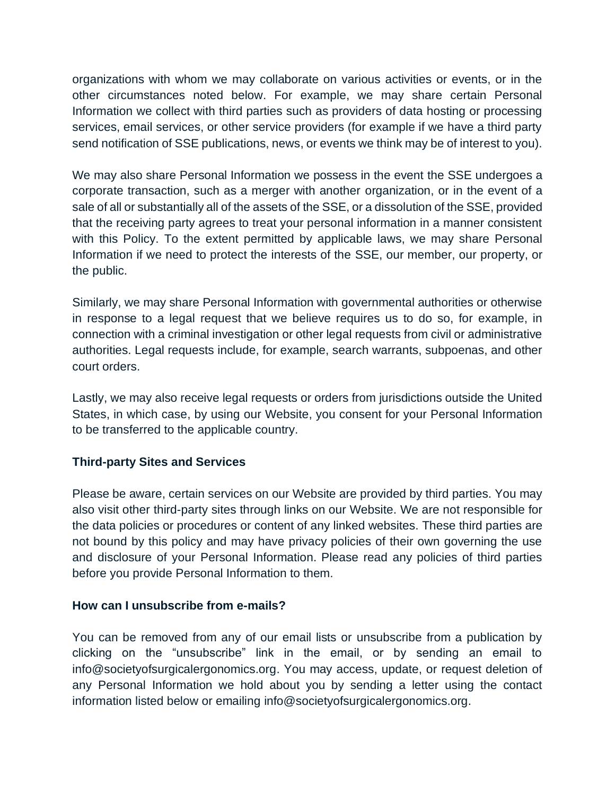organizations with whom we may collaborate on various activities or events, or in the other circumstances noted below. For example, we may share certain Personal Information we collect with third parties such as providers of data hosting or processing services, email services, or other service providers (for example if we have a third party send notification of SSE publications, news, or events we think may be of interest to you).

We may also share Personal Information we possess in the event the SSE undergoes a corporate transaction, such as a merger with another organization, or in the event of a sale of all or substantially all of the assets of the SSE, or a dissolution of the SSE, provided that the receiving party agrees to treat your personal information in a manner consistent with this Policy. To the extent permitted by applicable laws, we may share Personal Information if we need to protect the interests of the SSE, our member, our property, or the public.

Similarly, we may share Personal Information with governmental authorities or otherwise in response to a legal request that we believe requires us to do so, for example, in connection with a criminal investigation or other legal requests from civil or administrative authorities. Legal requests include, for example, search warrants, subpoenas, and other court orders.

Lastly, we may also receive legal requests or orders from jurisdictions outside the United States, in which case, by using our Website, you consent for your Personal Information to be transferred to the applicable country.

## **Third-party Sites and Services**

Please be aware, certain services on our Website are provided by third parties. You may also visit other third-party sites through links on our Website. We are not responsible for the data policies or procedures or content of any linked websites. These third parties are not bound by this policy and may have privacy policies of their own governing the use and disclosure of your Personal Information. Please read any policies of third parties before you provide Personal Information to them.

#### **How can I unsubscribe from e-mails?**

You can be removed from any of our email lists or unsubscribe from a publication by clicking on the "unsubscribe" link in the email, or by sending an email to info@societyofsurgicalergonomics.org. You may access, update, or request deletion of any Personal Information we hold about you by sending a letter using the contact information listed below or emailing info@societyofsurgicalergonomics.org.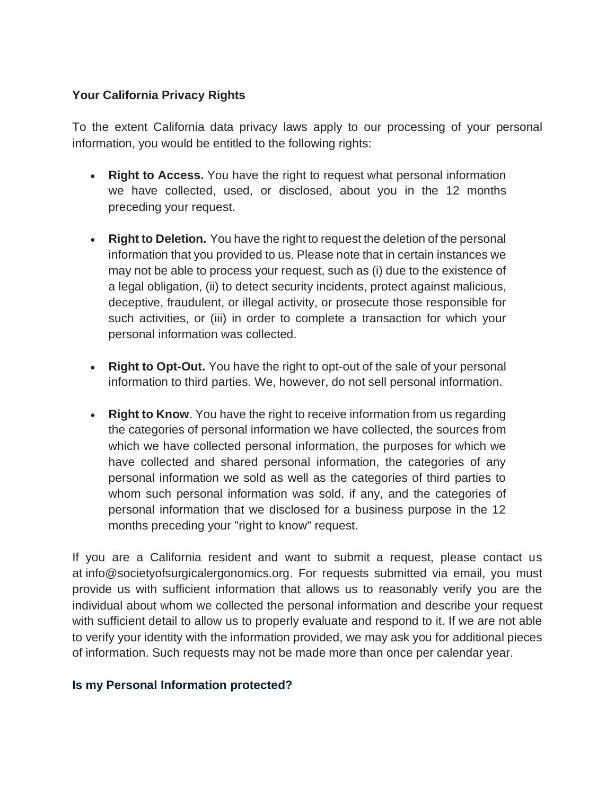# **Your California Privacy Rights**

To the extent California data privacy laws apply to our processing of your personal information, you would be entitled to the following rights:

- **Right to Access.** You have the right to request what personal information we have collected, used, or disclosed, about you in the 12 months preceding your request.
- **Right to Deletion.** You have the right to request the deletion of the personal information that you provided to us. Please note that in certain instances we may not be able to process your request, such as (i) due to the existence of a legal obligation, (ii) to detect security incidents, protect against malicious, deceptive, fraudulent, or illegal activity, or prosecute those responsible for such activities, or (iii) in order to complete a transaction for which your personal information was collected.
- **Right to Opt-Out.** You have the right to opt-out of the sale of your personal information to third parties. We, however, do not sell personal information.
- **Right to Know**. You have the right to receive information from us regarding the categories of personal information we have collected, the sources from which we have collected personal information, the purposes for which we have collected and shared personal information, the categories of any personal information we sold as well as the categories of third parties to whom such personal information was sold, if any, and the categories of personal information that we disclosed for a business purpose in the 12 months preceding your "right to know" request.

If you are a California resident and want to submit a request, please contact us at info@societyofsurgicalergonomics.org. For requests submitted via email, you must provide us with sufficient information that allows us to reasonably verify you are the individual about whom we collected the personal information and describe your request with sufficient detail to allow us to properly evaluate and respond to it. If we are not able to verify your identity with the information provided, we may ask you for additional pieces of information. Such requests may not be made more than once per calendar year.

## **Is my Personal Information protected?**